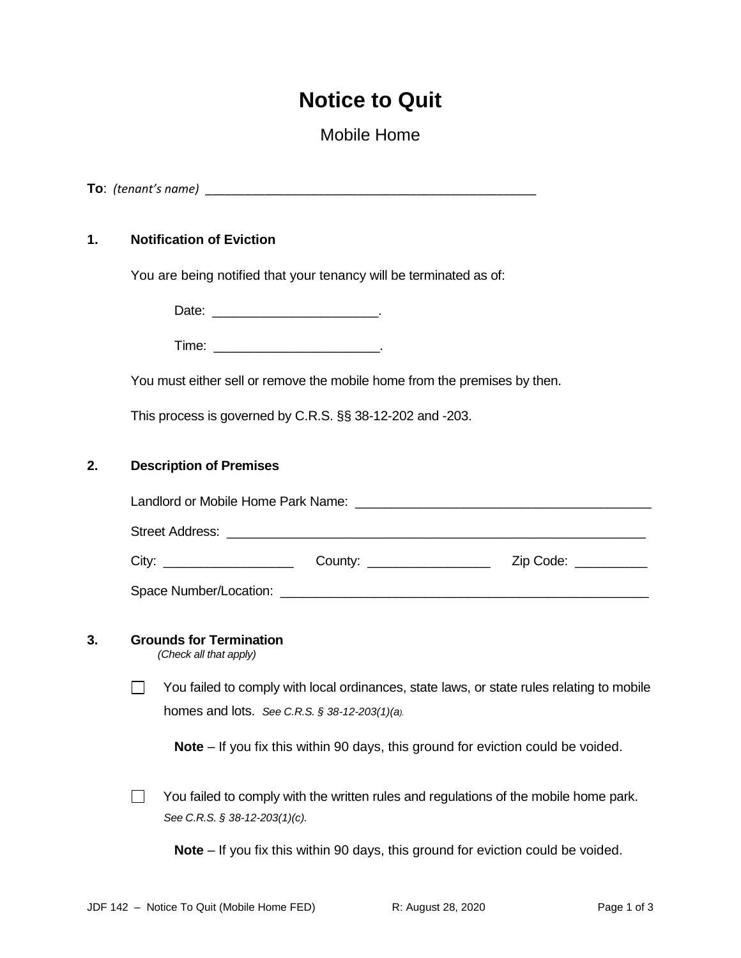# **Notice to Quit**

# Mobile Home

**To**: *(tenant's name)* \_\_\_\_\_\_\_\_\_\_\_\_\_\_\_\_\_\_\_\_\_\_\_\_\_\_\_\_\_\_\_\_\_\_\_\_\_\_\_\_\_\_\_\_\_\_\_\_\_\_

# **1. Notification of Eviction**

You are being notified that your tenancy will be terminated as of:

Date: \_\_\_\_\_\_\_\_\_\_\_\_\_\_\_\_\_\_\_\_\_\_\_\_\_\_\_\_\_\_\_\_\_.

 $Time:$ 

You must either sell or remove the mobile home from the premises by then.

This process is governed by C.R.S. §§ 38-12-202 and -203.

#### **2. Description of Premises**

|  | County: the country of the country of the country of the country of the country of the country of the country of the country of the country of the country of the country of the country of the country of the country of the | Zip Code: The Code Service Code Service Service Code Service Service Service Service Service Service Service S |  |  |  |  |
|--|-------------------------------------------------------------------------------------------------------------------------------------------------------------------------------------------------------------------------------|----------------------------------------------------------------------------------------------------------------|--|--|--|--|
|  |                                                                                                                                                                                                                               |                                                                                                                |  |  |  |  |

#### **3. Grounds for Termination**

*(Check all that apply)*

 $\Box$ You failed to comply with local ordinances, state laws, or state rules relating to mobile homes and lots. *See C.R.S. § 38-12-203(1)(a).*

**Note** – If you fix this within 90 days, this ground for eviction could be voided.

You failed to comply with the written rules and regulations of the mobile home park.  $\Box$ *See C.R.S. § 38-12-203(1)(c).*

**Note** – If you fix this within 90 days, this ground for eviction could be voided.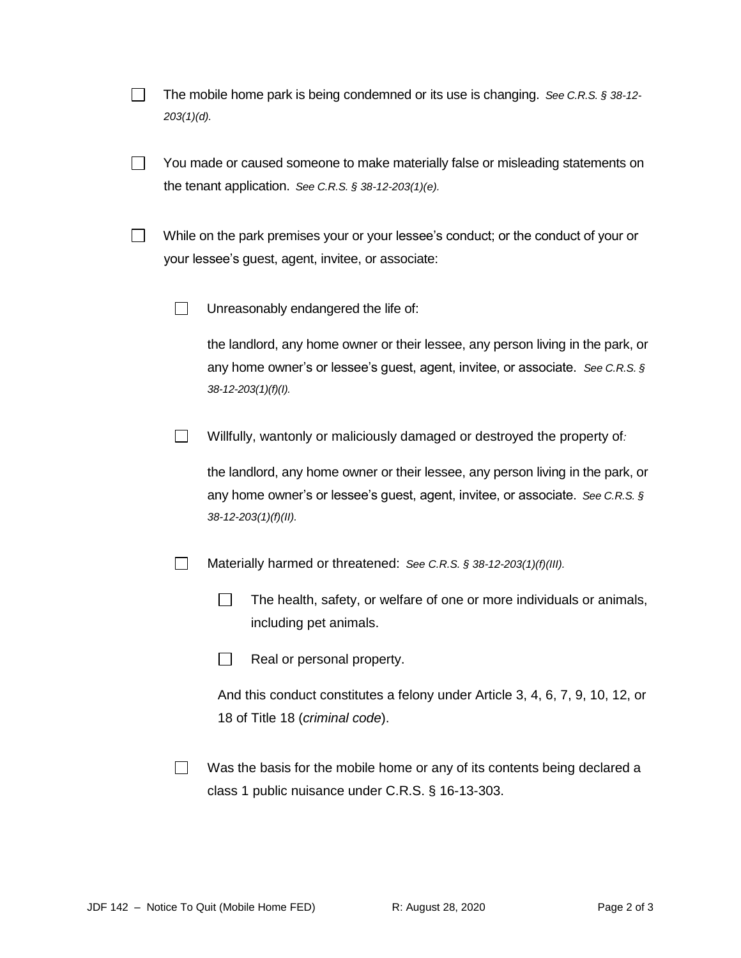| The mobile home park is being condemned or its use is changing. See C.R.S. § 38-12- |  |
|-------------------------------------------------------------------------------------|--|
| $203(1)(d)$ .                                                                       |  |

- $\Box$ You made or caused someone to make materially false or misleading statements on the tenant application. *See C.R.S. § 38-12-203(1)(e).*
- $\Box$ While on the park premises your or your lessee's conduct; or the conduct of your or your lessee's guest, agent, invitee, or associate:
	- $\Box$ Unreasonably endangered the life of:

the landlord, any home owner or their lessee, any person living in the park, or any home owner's or lessee's guest, agent, invitee, or associate. *See C.R.S. § 38-12-203(1)(f)(I).*

 $\Box$ Willfully, wantonly or maliciously damaged or destroyed the property of*:*

the landlord, any home owner or their lessee, any person living in the park, or any home owner's or lessee's guest, agent, invitee, or associate. *See C.R.S. § 38-12-203(1)(f)(II).*

- Materially harmed or threatened: *See C.R.S. § 38-12-203(1)(f)(III).*  $\perp$ 
	- $\Box$ The health, safety, or welfare of one or more individuals or animals, including pet animals.
	- $\Box$ Real or personal property.

And this conduct constitutes a felony under Article 3, 4, 6, 7, 9, 10, 12, or 18 of Title 18 (*criminal code*).

Was the basis for the mobile home or any of its contents being declared a  $\Box$ class 1 public nuisance under C.R.S. § 16-13-303.